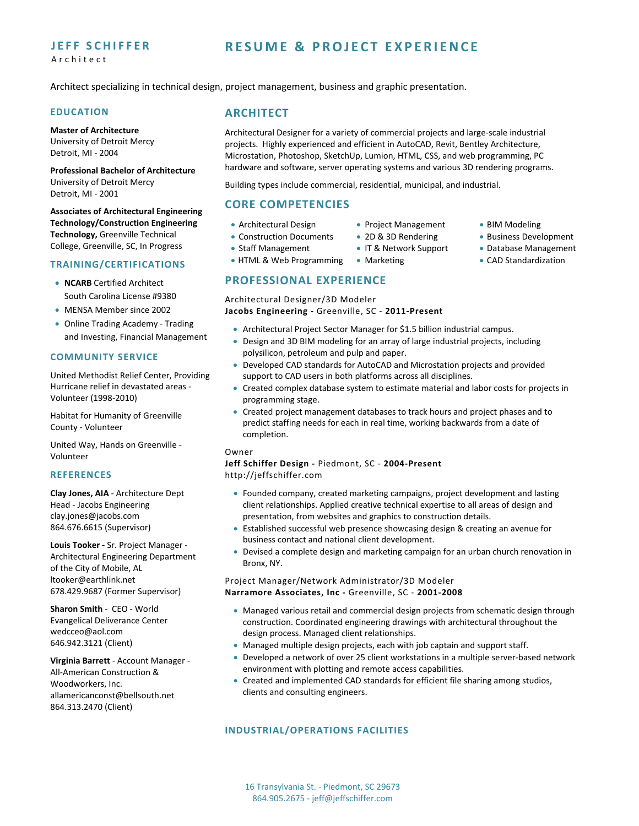## **JEFF SCHIFFER** Architect

## **RESUME & PROJECT EXPERIENCE**

Architect specializing in technical design, project management, business and graphic presentation.

### **EDUCATION**

**Master of Architecture** University of Detroit Mercy

Detroit, MI ‐ 2004 **Professional Bachelor of Architecture** University of Detroit Mercy

Detroit, MI ‐ 2001 **Associates of Architectural Engineering**

**Technology/Construction Engineering Technology,** Greenville Technical College, Greenville, SC, In Progress

#### **TRAINING/CERTIFICATIONS**

- **NCARB** Certified Architect South Carolina License #9380
- MENSA Member since 2002
- Online Trading Academy Trading and Investing, Financial Management

#### **COMMUNITY SERVICE**

United Methodist Relief Center, Providing Hurricane relief in devastated areas ‐ Volunteer (1998‐2010)

Habitat for Humanity of Greenville County ‐ Volunteer

United Way, Hands on Greenville ‐ Volunteer

#### **REFERENCES**

**Clay Jones, AIA** ‐ Architecture Dept Head ‐ Jacobs Engineering clay.jones@jacobs.com 864.676.6615 (Supervisor)

**Louis Tooker ‐** Sr. Project Manager ‐ Architectural Engineering Department of the City of Mobile, AL ltooker@earthlink.net 678.429.9687 (Former Supervisor)

**Sharon Smith** ‐ CEO ‐ World Evangelical Deliverance Center wedcceo@aol.com 646.942.3121 (Client)

**Virginia Barrett** ‐ Account Manager ‐ All‐American Construction & Woodworkers, Inc. allamericanconst@bellsouth.net 864.313.2470 (Client)

## **ARCHITECT**

Architectural Designer for a variety of commercial projects and large‐scale industrial projects. Highly experienced and efficient in AutoCAD, Revit, Bentley Architecture, Microstation, Photoshop, SketchUp, Lumion, HTML, CSS, and web programming, PC hardware and software, server operating systems and various 3D rendering programs.

> • Project Management ● 2D & 3D Rendering IT & Network Support

Building types include commercial, residential, municipal, and industrial.

## **CORE COMPETENCIES**

- Architectural Design
- Construction Documents
- Staff Management
- HTML & Web Programming

# **PROFESSIONAL EXPERIENCE**

Architectural Designer/3D Modeler

**Jacobs Engineering ‐** Greenville, SC ‐ **2011‐Present**

Architectural Project Sector Manager for \$1.5 billion industrial campus.

• Marketing

- Design and 3D BIM modeling for an array of large industrial projects, including polysilicon, petroleum and pulp and paper.
- Developed CAD standards for AutoCAD and Microstation projects and provided support to CAD users in both platforms across all disciplines.
- Created complex database system to estimate material and labor costs for projects in programming stage.
- Created project management databases to track hours and project phases and to predict staffing needs for each in real time, working backwards from a date of completion.

### Owner

**Jeff Schiffer Design ‐** Piedmont, SC ‐ **2004‐Present** http://jeffschiffer.com

- Founded company, created marketing campaigns, project development and lasting client relationships. Applied creative technical expertise to all areas of design and presentation, from websites and graphics to construction details.
- Established successful web presence showcasing design & creating an avenue for business contact and national client development.
- Devised a complete design and marketing campaign for an urban church renovation in Bronx, NY.

#### Project Manager/Network Administrator/3D Modeler **Narramore Associates, Inc ‐** Greenville, SC ‐ **2001‐2008**

- Managed various retail and commercial design projects from schematic design through construction. Coordinated engineering drawings with architectural throughout the design process. Managed client relationships.
- Managed multiple design projects, each with job captain and support staff.
- Developed a network of over 25 client workstations in a multiple server-based network environment with plotting and remote access capabilities.
- Created and implemented CAD standards for efficient file sharing among studios, clients and consulting engineers.

## **INDUSTRIAL/OPERATIONS FACILITIES**

16 Transylvania St. ‐ Piedmont, SC 29673 864.905.2675 ‐ jeff@jeffschiffer.com

- BIM Modeling
	- Business Development
	- Database Management
	- CAD Standardization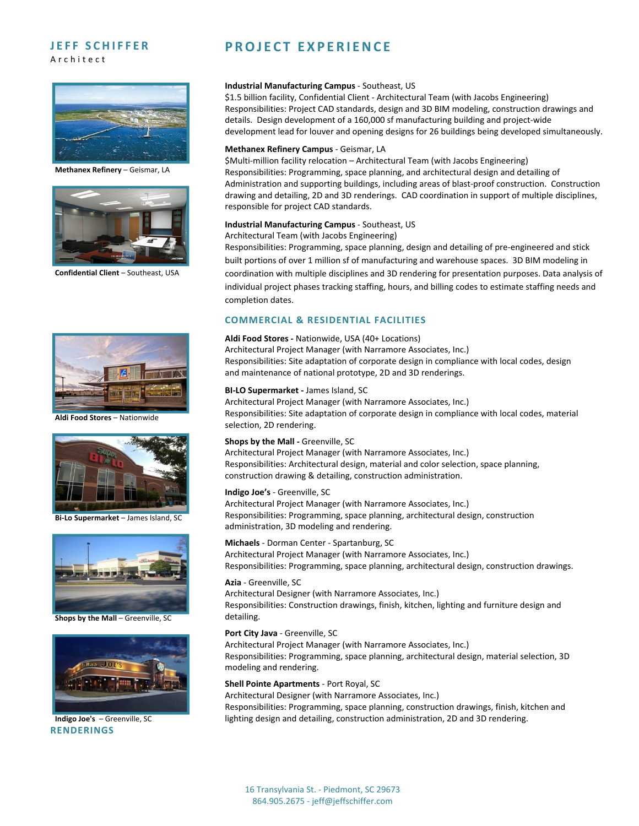## **JEFF SCHIFFER** Architect



**Methanex Refinery** – Geismar, LA



**Confidential Client** – Southeast, USA



**Aldi Food Stores** – Nationwide



**Bi‐Lo Supermarket** – James Island, SC



**Shops by the Mall** – Greenville, SC



**Indigo Joe's** – Greenville, SC **RENDERINGS**

## **PROJECT EXPERIENCE**

#### **Industrial Manufacturing Campus** ‐ Southeast, US

\$1.5 billion facility, Confidential Client ‐ Architectural Team (with Jacobs Engineering) Responsibilities: Project CAD standards, design and 3D BIM modeling, construction drawings and details. Design development of a 160,000 sf manufacturing building and project‐wide development lead for louver and opening designs for 26 buildings being developed simultaneously.

#### **Methanex Refinery Campus** ‐ Geismar, LA

\$Multi‐million facility relocation – Architectural Team (with Jacobs Engineering) Responsibilities: Programming, space planning, and architectural design and detailing of Administration and supporting buildings, including areas of blast‐proof construction. Construction drawing and detailing, 2D and 3D renderings. CAD coordination in support of multiple disciplines, responsible for project CAD standards.

#### **Industrial Manufacturing Campus** ‐ Southeast, US

Architectural Team (with Jacobs Engineering)

Responsibilities: Programming, space planning, design and detailing of pre‐engineered and stick built portions of over 1 million sf of manufacturing and warehouse spaces. 3D BIM modeling in coordination with multiple disciplines and 3D rendering for presentation purposes. Data analysis of individual project phases tracking staffing, hours, and billing codes to estimate staffing needs and completion dates.

### **COMMERCIAL & RESIDENTIAL FACILITIES**

## **Aldi Food Stores ‐** Nationwide, USA (40+ Locations)

Architectural Project Manager (with Narramore Associates, Inc.) Responsibilities: Site adaptation of corporate design in compliance with local codes, design and maintenance of national prototype, 2D and 3D renderings.

#### **BI‐LO Supermarket ‐** James Island, SC

Architectural Project Manager (with Narramore Associates, Inc.) Responsibilities: Site adaptation of corporate design in compliance with local codes, material selection, 2D rendering.

#### **Shops by the Mall ‐** Greenville, SC

Architectural Project Manager (with Narramore Associates, Inc.) Responsibilities: Architectural design, material and color selection, space planning, construction drawing & detailing, construction administration.

#### **Indigo Joe's** ‐ Greenville, SC

Architectural Project Manager (with Narramore Associates, Inc.) Responsibilities: Programming, space planning, architectural design, construction administration, 3D modeling and rendering.

**Michaels** ‐ Dorman Center ‐ Spartanburg, SC Architectural Project Manager (with Narramore Associates, Inc.) Responsibilities: Programming, space planning, architectural design, construction drawings.

#### **Azia** ‐ Greenville, SC

Architectural Designer (with Narramore Associates, Inc.) Responsibilities: Construction drawings, finish, kitchen, lighting and furniture design and detailing.

#### **Port City Java** ‐ Greenville, SC

Architectural Project Manager (with Narramore Associates, Inc.) Responsibilities: Programming, space planning, architectural design, material selection, 3D modeling and rendering.

#### **Shell Pointe Apartments** ‐ Port Royal, SC

Architectural Designer (with Narramore Associates, Inc.)

Responsibilities: Programming, space planning, construction drawings, finish, kitchen and lighting design and detailing, construction administration, 2D and 3D rendering.